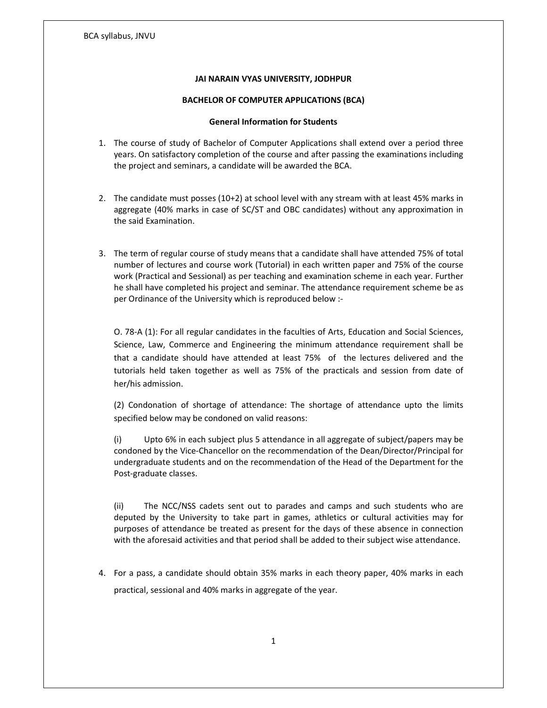#### JAI NARAIN VYAS UNIVERSITY, JODHPUR

#### BACHELOR OF COMPUTER APPLICATIONS (BCA)

#### General Information for Students

- 1. The course of study of Bachelor of Computer Applications shall extend over a period three years. On satisfactory completion of the course and after passing the examinations including the project and seminars, a candidate will be awarded the BCA.
- 2. The candidate must posses (10+2) at school level with any stream with at least 45% marks in aggregate (40% marks in case of SC/ST and OBC candidates) without any approximation in the said Examination.
- 3. The term of regular course of study means that a candidate shall have attended 75% of total number of lectures and course work (Tutorial) in each written paper and 75% of the course work (Practical and Sessional) as per teaching and examination scheme in each year. Further he shall have completed his project and seminar. The attendance requirement scheme be as per Ordinance of the University which is reproduced below :-

O. 78-A (1): For all regular candidates in the faculties of Arts, Education and Social Sciences, Science, Law, Commerce and Engineering the minimum attendance requirement shall be that a candidate should have attended at least 75% of the lectures delivered and the tutorials held taken together as well as 75% of the practicals and session from date of her/his admission.

(2) Condonation of shortage of attendance: The shortage of attendance upto the limits specified below may be condoned on valid reasons:

(i) Upto 6% in each subject plus 5 attendance in all aggregate of subject/papers may be condoned by the Vice-Chancellor on the recommendation of the Dean/Director/Principal for undergraduate students and on the recommendation of the Head of the Department for the Post-graduate classes.

(ii) The NCC/NSS cadets sent out to parades and camps and such students who are deputed by the University to take part in games, athletics or cultural activities may for purposes of attendance be treated as present for the days of these absence in connection with the aforesaid activities and that period shall be added to their subject wise attendance.

4. For a pass, a candidate should obtain 35% marks in each theory paper, 40% marks in each practical, sessional and 40% marks in aggregate of the year.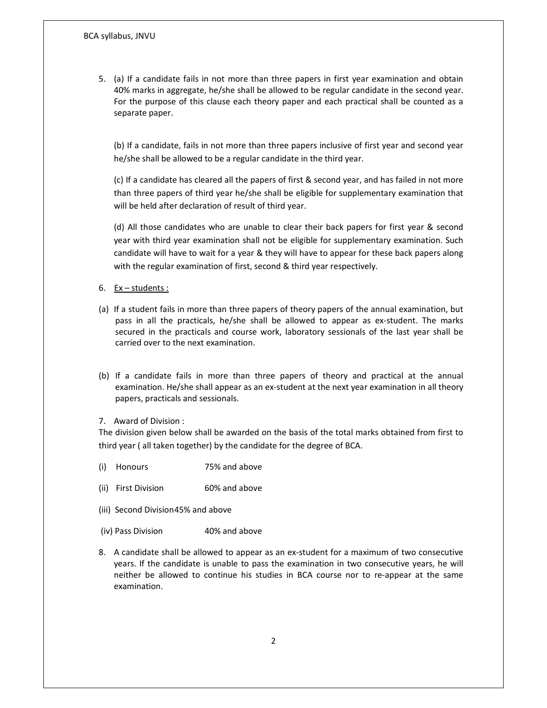5. (a) If a candidate fails in not more than three papers in first year examination and obtain 40% marks in aggregate, he/she shall be allowed to be regular candidate in the second year. For the purpose of this clause each theory paper and each practical shall be counted as a separate paper.

(b) If a candidate, fails in not more than three papers inclusive of first year and second year he/she shall be allowed to be a regular candidate in the third year.

(c) If a candidate has cleared all the papers of first & second year, and has failed in not more than three papers of third year he/she shall be eligible for supplementary examination that will be held after declaration of result of third year.

(d) All those candidates who are unable to clear their back papers for first year & second year with third year examination shall not be eligible for supplementary examination. Such candidate will have to wait for a year & they will have to appear for these back papers along with the regular examination of first, second & third year respectively.

- 6.  $Ex students:$
- (a) If a student fails in more than three papers of theory papers of the annual examination, but pass in all the practicals, he/she shall be allowed to appear as ex-student. The marks secured in the practicals and course work, laboratory sessionals of the last year shall be carried over to the next examination.
- (b) If a candidate fails in more than three papers of theory and practical at the annual examination. He/she shall appear as an ex-student at the next year examination in all theory papers, practicals and sessionals.
- 7. Award of Division :

The division given below shall be awarded on the basis of the total marks obtained from first to third year ( all taken together) by the candidate for the degree of BCA.

- (i) Honours 75% and above
- (ii) First Division 60% and above
- (iii) Second Division 45% and above
- (iv) Pass Division 40% and above
- 8. A candidate shall be allowed to appear as an ex-student for a maximum of two consecutive years. If the candidate is unable to pass the examination in two consecutive years, he will neither be allowed to continue his studies in BCA course nor to re-appear at the same examination.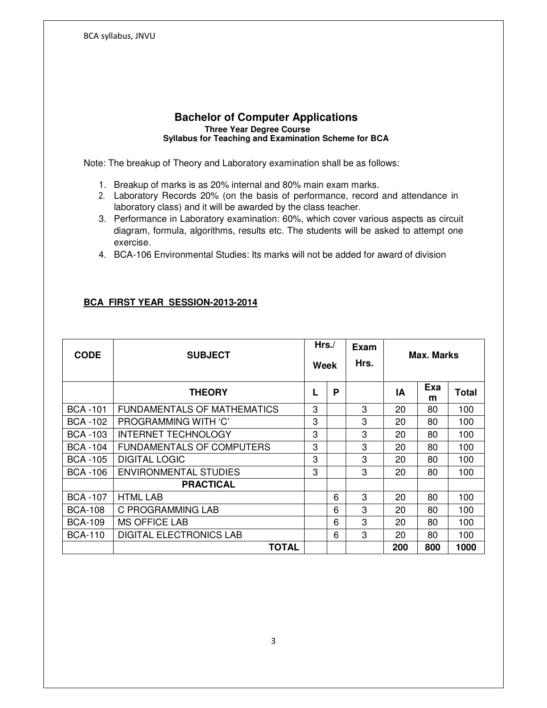## **Bachelor of Computer Applications Three Year Degree Course Syllabus for Teaching and Examination Scheme for BCA**

Note: The breakup of Theory and Laboratory examination shall be as follows:

- 1. Breakup of marks is as 20% internal and 80% main exam marks.
- 2. Laboratory Records 20% (on the basis of performance, record and attendance in laboratory class) and it will be awarded by the class teacher.
- 3. Performance in Laboratory examination: 60%, which cover various aspects as circuit diagram, formula, algorithms, results etc. The students will be asked to attempt one exercise.
- 4. BCA-106 Environmental Studies: Its marks will not be added for award of division

# **BCA FIRST YEAR SESSION-2013-2014**

| <b>CODE</b>     | <b>SUBJECT</b>                     | Hrs.<br>Week |   | Exam<br>Hrs. | Max. Marks |          |              |
|-----------------|------------------------------------|--------------|---|--------------|------------|----------|--------------|
|                 | <b>THEORY</b>                      | L            | P |              | ΙA         | Exa<br>m | <b>Total</b> |
| <b>BCA-101</b>  | <b>FUNDAMENTALS OF MATHEMATICS</b> | 3            |   | 3            | 20         | 80       | 100          |
| <b>BCA -102</b> | PROGRAMMING WITH 'C'               | 3            |   | 3            | 20         | 80       | 100          |
| <b>BCA -103</b> | <b>INTERNET TECHNOLOGY</b>         | 3            |   | 3            | 20         | 80       | 100          |
| <b>BCA -104</b> | <b>FUNDAMENTALS OF COMPUTERS</b>   | 3            |   | 3            | 20         | 80       | 100          |
| <b>BCA -105</b> | <b>DIGITAL LOGIC</b>               | 3            |   | 3            | 20         | 80       | 100          |
| BCA -106        | <b>ENVIRONMENTAL STUDIES</b>       | 3            |   | 3            | 20         | 80       | 100          |
|                 | <b>PRACTICAL</b>                   |              |   |              |            |          |              |
| <b>BCA-107</b>  | <b>HTML LAB</b>                    |              | 6 | 3            | 20         | 80       | 100          |
| <b>BCA-108</b>  | C PROGRAMMING LAB                  |              | 6 | 3            | 20         | 80       | 100          |
| <b>BCA-109</b>  | <b>MS OFFICE LAB</b>               |              | 6 | 3            | 20         | 80       | 100          |
| <b>BCA-110</b>  | <b>DIGITAL ELECTRONICS LAB</b>     |              | 6 | 3            | 20         | 80       | 100          |
|                 | TOTAL                              |              |   |              | 200        | 800      | 1000         |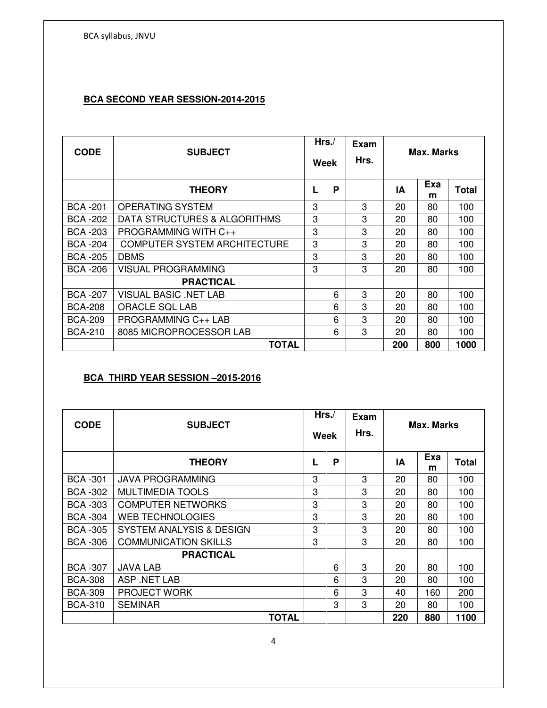# **BCA SECOND YEAR SESSION-2014-2015**

| <b>CODE</b>     | <b>SUBJECT</b>                      | Hrs/<br>Week |   | Exam<br>Hrs. | Max. Marks |          |       |
|-----------------|-------------------------------------|--------------|---|--------------|------------|----------|-------|
|                 | <b>THEORY</b>                       |              | P |              | ΙA         | Exa<br>m | Total |
| <b>BCA-201</b>  | <b>OPERATING SYSTEM</b>             | 3            |   | 3            | 20         | 80       | 100   |
| <b>BCA -202</b> | DATA STRUCTURES & ALGORITHMS        | 3            |   | 3            | 20         | 80       | 100   |
| <b>BCA -203</b> | PROGRAMMING WITH C++                | 3            |   | 3            | 20         | 80       | 100   |
| <b>BCA -204</b> | <b>COMPUTER SYSTEM ARCHITECTURE</b> | 3            |   | 3            | 20         | 80       | 100   |
| <b>BCA -205</b> | <b>DBMS</b>                         | 3            |   | 3            | 20         | 80       | 100   |
| BCA -206        | <b>VISUAL PROGRAMMING</b>           | 3            |   | 3            | 20         | 80       | 100   |
|                 | <b>PRACTICAL</b>                    |              |   |              |            |          |       |
| <b>BCA -207</b> | <b>VISUAL BASIC .NET LAB</b>        |              | 6 | 3            | 20         | 80       | 100   |
| <b>BCA-208</b>  | ORACLE SQL LAB                      |              | 6 | 3            | 20         | 80       | 100   |
| <b>BCA-209</b>  | PROGRAMMING C++ LAB                 |              | 6 | 3            | 20         | 80       | 100   |
| <b>BCA-210</b>  | 8085 MICROPROCESSOR LAB             |              | 6 | 3            | 20         | 80       | 100   |
|                 | <b>TOTAL</b>                        |              |   |              | 200        | 800      | 1000  |

# **BCA THIRD YEAR SESSION –2015-2016**

| <b>CODE</b>     | <b>SUBJECT</b>                      | Hrs<br>Week |   | Exam<br>Hrs. | <b>Max. Marks</b> |          |              |
|-----------------|-------------------------------------|-------------|---|--------------|-------------------|----------|--------------|
|                 | <b>THEORY</b>                       | L           | P |              | ΙA                | Exa<br>m | <b>Total</b> |
| <b>BCA -301</b> | <b>JAVA PROGRAMMING</b>             | 3           |   | 3            | 20                | 80       | 100          |
| <b>BCA -302</b> | MULTIMEDIA TOOLS                    | 3           |   | 3            | 20                | 80       | 100          |
| <b>BCA -303</b> | <b>COMPUTER NETWORKS</b>            | 3           |   | 3            | 20                | 80       | 100          |
| <b>BCA -304</b> | <b>WEB TECHNOLOGIES</b>             | 3           |   | 3            | 20                | 80       | 100          |
| <b>BCA -305</b> | <b>SYSTEM ANALYSIS &amp; DESIGN</b> | 3           |   | 3            | 20                | 80       | 100          |
| <b>BCA -306</b> | <b>COMMUNICATION SKILLS</b>         | 3           |   | 3            | 20                | 80       | 100          |
|                 | <b>PRACTICAL</b>                    |             |   |              |                   |          |              |
| <b>BCA -307</b> | JAVA LAB                            |             | 6 | 3            | 20                | 80       | 100          |
| <b>BCA-308</b>  | ASP .NET LAB                        |             | 6 | 3            | 20                | 80       | 100          |
| <b>BCA-309</b>  | <b>PROJECT WORK</b>                 |             | 6 | 3            | 40                | 160      | 200          |
| <b>BCA-310</b>  | <b>SEMINAR</b>                      |             | 3 | 3            | 20                | 80       | 100          |
|                 | <b>TOTAL</b>                        |             |   |              | 220               | 880      | 1100         |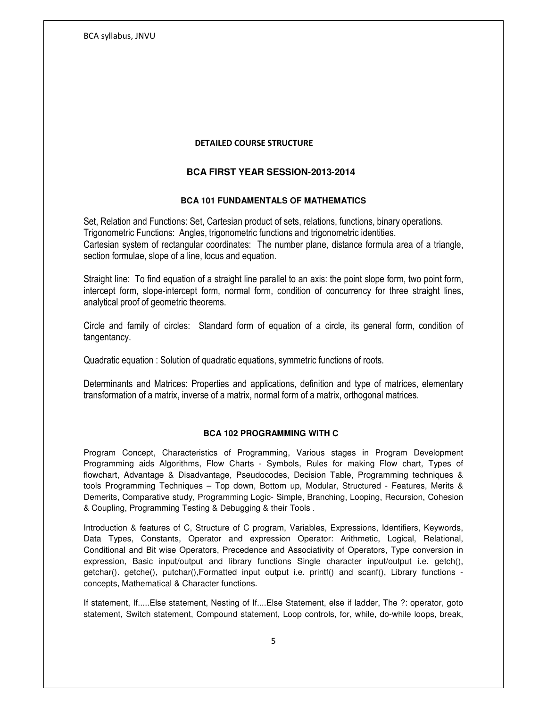#### DETAILED COURSE STRUCTURE

# **BCA FIRST YEAR SESSION-2013-2014**

#### **BCA 101 FUNDAMENTALS OF MATHEMATICS**

Set, Relation and Functions: Set, Cartesian product of sets, relations, functions, binary operations. Trigonometric Functions: Angles, trigonometric functions and trigonometric identities. Cartesian system of rectangular coordinates: The number plane, distance formula area of a triangle, section formulae, slope of a line, locus and equation.

Straight line: To find equation of a straight line parallel to an axis: the point slope form, two point form, intercept form, slope-intercept form, normal form, condition of concurrency for three straight lines, analytical proof of geometric theorems.

Circle and family of circles: Standard form of equation of a circle, its general form, condition of tangentancy.

Quadratic equation : Solution of quadratic equations, symmetric functions of roots.

Determinants and Matrices: Properties and applications, definition and type of matrices, elementary transformation of a matrix, inverse of a matrix, normal form of a matrix, orthogonal matrices.

#### **BCA 102 PROGRAMMING WITH C**

Program Concept, Characteristics of Programming, Various stages in Program Development Programming aids Algorithms, Flow Charts - Symbols, Rules for making Flow chart, Types of flowchart, Advantage & Disadvantage, Pseudocodes, Decision Table, Programming techniques & tools Programming Techniques – Top down, Bottom up, Modular, Structured - Features, Merits & Demerits, Comparative study, Programming Logic- Simple, Branching, Looping, Recursion, Cohesion & Coupling, Programming Testing & Debugging & their Tools .

Introduction & features of C, Structure of C program, Variables, Expressions, Identifiers, Keywords, Data Types, Constants, Operator and expression Operator: Arithmetic, Logical, Relational, Conditional and Bit wise Operators, Precedence and Associativity of Operators, Type conversion in expression, Basic input/output and library functions Single character input/output i.e. getch(), getchar(). getche(), putchar(),Formatted input output i.e. printf() and scanf(), Library functions concepts, Mathematical & Character functions.

If statement, If.....Else statement, Nesting of If....Else Statement, else if ladder, The ?: operator, goto statement, Switch statement, Compound statement, Loop controls, for, while, do-while loops, break,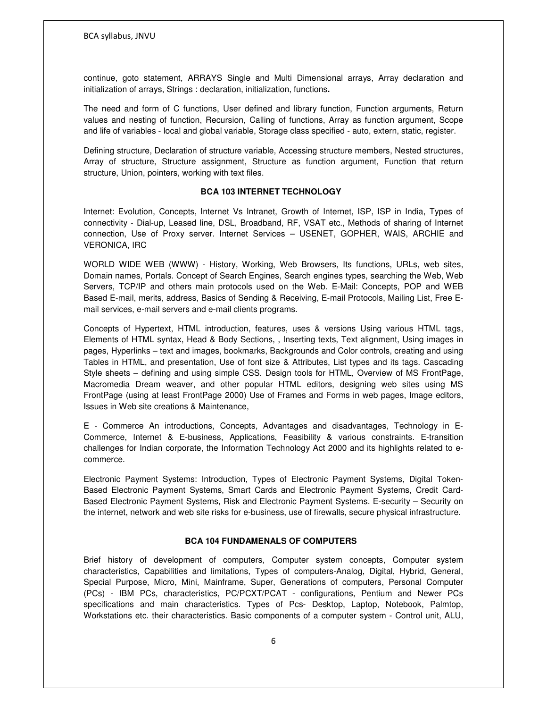continue, goto statement, ARRAYS Single and Multi Dimensional arrays, Array declaration and initialization of arrays, Strings : declaration, initialization, functions**.** 

The need and form of C functions, User defined and library function, Function arguments, Return values and nesting of function, Recursion, Calling of functions, Array as function argument, Scope and life of variables - local and global variable, Storage class specified - auto, extern, static, register.

Defining structure, Declaration of structure variable, Accessing structure members, Nested structures, Array of structure, Structure assignment, Structure as function argument, Function that return structure, Union, pointers, working with text files.

#### **BCA 103 INTERNET TECHNOLOGY**

Internet: Evolution, Concepts, Internet Vs Intranet, Growth of Internet, ISP, ISP in India, Types of connectivity - Dial-up, Leased line, DSL, Broadband, RF, VSAT etc., Methods of sharing of Internet connection, Use of Proxy server. Internet Services – USENET, GOPHER, WAIS, ARCHIE and VERONICA, IRC

WORLD WIDE WEB (WWW) - History, Working, Web Browsers, Its functions, URLs, web sites, Domain names, Portals. Concept of Search Engines, Search engines types, searching the Web, Web Servers, TCP/IP and others main protocols used on the Web. E-Mail: Concepts, POP and WEB Based E-mail, merits, address, Basics of Sending & Receiving, E-mail Protocols, Mailing List, Free Email services, e-mail servers and e-mail clients programs.

Concepts of Hypertext, HTML introduction, features, uses & versions Using various HTML tags, Elements of HTML syntax, Head & Body Sections, , Inserting texts, Text alignment, Using images in pages, Hyperlinks – text and images, bookmarks, Backgrounds and Color controls, creating and using Tables in HTML, and presentation, Use of font size & Attributes, List types and its tags. Cascading Style sheets – defining and using simple CSS. Design tools for HTML, Overview of MS FrontPage, Macromedia Dream weaver, and other popular HTML editors, designing web sites using MS FrontPage (using at least FrontPage 2000) Use of Frames and Forms in web pages, Image editors, Issues in Web site creations & Maintenance,

E - Commerce An introductions, Concepts, Advantages and disadvantages, Technology in E-Commerce, Internet & E-business, Applications, Feasibility & various constraints. E-transition challenges for Indian corporate, the Information Technology Act 2000 and its highlights related to ecommerce.

Electronic Payment Systems: Introduction, Types of Electronic Payment Systems, Digital Token-Based Electronic Payment Systems, Smart Cards and Electronic Payment Systems, Credit Card-Based Electronic Payment Systems, Risk and Electronic Payment Systems. E-security – Security on the internet, network and web site risks for e-business, use of firewalls, secure physical infrastructure.

#### **BCA 104 FUNDAMENALS OF COMPUTERS**

Brief history of development of computers, Computer system concepts, Computer system characteristics, Capabilities and limitations, Types of computers-Analog, Digital, Hybrid, General, Special Purpose, Micro, Mini, Mainframe, Super, Generations of computers, Personal Computer (PCs) - IBM PCs, characteristics, PC/PCXT/PCAT - configurations, Pentium and Newer PCs specifications and main characteristics. Types of Pcs- Desktop, Laptop, Notebook, Palmtop, Workstations etc. their characteristics. Basic components of a computer system - Control unit, ALU,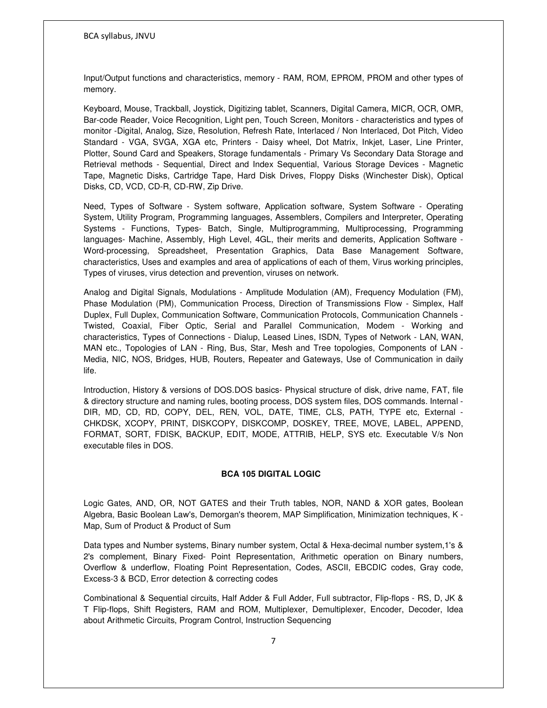Input/Output functions and characteristics, memory - RAM, ROM, EPROM, PROM and other types of memory.

Keyboard, Mouse, Trackball, Joystick, Digitizing tablet, Scanners, Digital Camera, MICR, OCR, OMR, Bar-code Reader, Voice Recognition, Light pen, Touch Screen, Monitors - characteristics and types of monitor -Digital, Analog, Size, Resolution, Refresh Rate, Interlaced / Non Interlaced, Dot Pitch, Video Standard - VGA, SVGA, XGA etc, Printers - Daisy wheel, Dot Matrix, Inkjet, Laser, Line Printer, Plotter, Sound Card and Speakers, Storage fundamentals - Primary Vs Secondary Data Storage and Retrieval methods - Sequential, Direct and Index Sequential, Various Storage Devices - Magnetic Tape, Magnetic Disks, Cartridge Tape, Hard Disk Drives, Floppy Disks (Winchester Disk), Optical Disks, CD, VCD, CD-R, CD-RW, Zip Drive.

Need, Types of Software - System software, Application software, System Software - Operating System, Utility Program, Programming languages, Assemblers, Compilers and Interpreter, Operating Systems - Functions, Types- Batch, Single, Multiprogramming, Multiprocessing, Programming languages- Machine, Assembly, High Level, 4GL, their merits and demerits, Application Software - Word-processing, Spreadsheet, Presentation Graphics, Data Base Management Software, characteristics, Uses and examples and area of applications of each of them, Virus working principles, Types of viruses, virus detection and prevention, viruses on network.

Analog and Digital Signals, Modulations - Amplitude Modulation (AM), Frequency Modulation (FM), Phase Modulation (PM), Communication Process, Direction of Transmissions Flow - Simplex, Half Duplex, Full Duplex, Communication Software, Communication Protocols, Communication Channels - Twisted, Coaxial, Fiber Optic, Serial and Parallel Communication, Modem - Working and characteristics, Types of Connections - Dialup, Leased Lines, ISDN, Types of Network - LAN, WAN, MAN etc., Topologies of LAN - Ring, Bus, Star, Mesh and Tree topologies, Components of LAN - Media, NIC, NOS, Bridges, HUB, Routers, Repeater and Gateways, Use of Communication in daily life.

Introduction, History & versions of DOS.DOS basics- Physical structure of disk, drive name, FAT, file & directory structure and naming rules, booting process, DOS system files, DOS commands. Internal - DIR, MD, CD, RD, COPY, DEL, REN, VOL, DATE, TIME, CLS, PATH, TYPE etc, External - CHKDSK, XCOPY, PRINT, DISKCOPY, DISKCOMP, DOSKEY, TREE, MOVE, LABEL, APPEND, FORMAT, SORT, FDISK, BACKUP, EDIT, MODE, ATTRIB, HELP, SYS etc. Executable V/s Non executable files in DOS.

## **BCA 105 DIGITAL LOGIC**

Logic Gates, AND, OR, NOT GATES and their Truth tables, NOR, NAND & XOR gates, Boolean Algebra, Basic Boolean Law's, Demorgan's theorem, MAP Simplification, Minimization techniques, K - Map, Sum of Product & Product of Sum

Data types and Number systems, Binary number system, Octal & Hexa-decimal number system,1's & 2's complement, Binary Fixed- Point Representation, Arithmetic operation on Binary numbers, Overflow & underflow, Floating Point Representation, Codes, ASCII, EBCDIC codes, Gray code, Excess-3 & BCD, Error detection & correcting codes

Combinational & Sequential circuits, Half Adder & Full Adder, Full subtractor, Flip-flops - RS, D, JK & T Flip-flops, Shift Registers, RAM and ROM, Multiplexer, Demultiplexer, Encoder, Decoder, Idea about Arithmetic Circuits, Program Control, Instruction Sequencing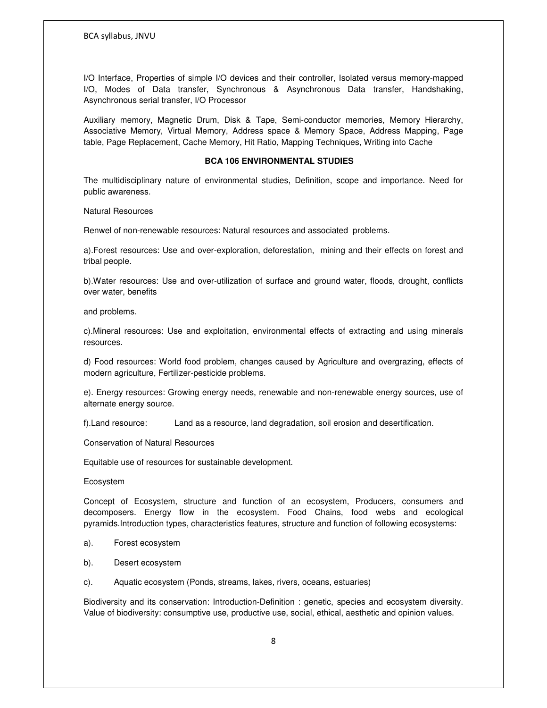I/O Interface, Properties of simple I/O devices and their controller, Isolated versus memory-mapped I/O, Modes of Data transfer, Synchronous & Asynchronous Data transfer, Handshaking, Asynchronous serial transfer, I/O Processor

Auxiliary memory, Magnetic Drum, Disk & Tape, Semi-conductor memories, Memory Hierarchy, Associative Memory, Virtual Memory, Address space & Memory Space, Address Mapping, Page table, Page Replacement, Cache Memory, Hit Ratio, Mapping Techniques, Writing into Cache

#### **BCA 106 ENVIRONMENTAL STUDIES**

The multidisciplinary nature of environmental studies, Definition, scope and importance. Need for public awareness.

Natural Resources

Renwel of non-renewable resources: Natural resources and associated problems.

a).Forest resources: Use and over-exploration, deforestation, mining and their effects on forest and tribal people.

b).Water resources: Use and over-utilization of surface and ground water, floods, drought, conflicts over water, benefits

and problems.

c).Mineral resources: Use and exploitation, environmental effects of extracting and using minerals resources.

d) Food resources: World food problem, changes caused by Agriculture and overgrazing, effects of modern agriculture, Fertilizer-pesticide problems.

e). Energy resources: Growing energy needs, renewable and non-renewable energy sources, use of alternate energy source.

f).Land resource: Land as a resource, land degradation, soil erosion and desertification.

Conservation of Natural Resources

Equitable use of resources for sustainable development.

Ecosystem

Concept of Ecosystem, structure and function of an ecosystem, Producers, consumers and decomposers. Energy flow in the ecosystem. Food Chains, food webs and ecological pyramids.Introduction types, characteristics features, structure and function of following ecosystems:

- a). Forest ecosystem
- b). Desert ecosystem
- c). Aquatic ecosystem (Ponds, streams, lakes, rivers, oceans, estuaries)

Biodiversity and its conservation: Introduction-Definition : genetic, species and ecosystem diversity. Value of biodiversity: consumptive use, productive use, social, ethical, aesthetic and opinion values.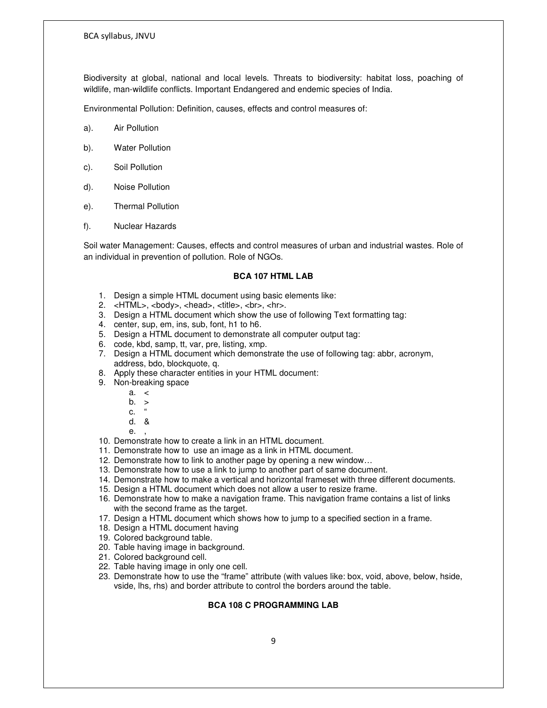Biodiversity at global, national and local levels. Threats to biodiversity: habitat loss, poaching of wildlife, man-wildlife conflicts. Important Endangered and endemic species of India.

Environmental Pollution: Definition, causes, effects and control measures of:

- a). Air Pollution
- b). Water Pollution
- c). Soil Pollution
- d). Noise Pollution
- e). Thermal Pollution
- f). Nuclear Hazards

Soil water Management: Causes, effects and control measures of urban and industrial wastes. Role of an individual in prevention of pollution. Role of NGOs.

#### **BCA 107 HTML LAB**

- 1. Design a simple HTML document using basic elements like:
- 2. <HTML>, <br/>>body>, <head>, <title>, <br>><hr>.</a>.
- 3. Design a HTML document which show the use of following Text formatting tag:
- 4. center, sup, em, ins, sub, font, h1 to h6.
- 5. Design a HTML document to demonstrate all computer output tag:
- 6. code, kbd, samp, tt, var, pre, listing, xmp.
- 7. Design a HTML document which demonstrate the use of following tag: abbr, acronym, address, bdo, blockquote, q.
- 8. Apply these character entities in your HTML document:
- 9. Non-breaking space
	- a. <
	- b. >
	- c. "
	- d. &
	- $\mathsf{e}$ .
- 10. Demonstrate how to create a link in an HTML document.
- 11. Demonstrate how to use an image as a link in HTML document.
- 12. Demonstrate how to link to another page by opening a new window…
- 13. Demonstrate how to use a link to jump to another part of same document.
- 14. Demonstrate how to make a vertical and horizontal frameset with three different documents.
- 15. Design a HTML document which does not allow a user to resize frame.
- 16. Demonstrate how to make a navigation frame. This navigation frame contains a list of links with the second frame as the target.
- 17. Design a HTML document which shows how to jump to a specified section in a frame.
- 18. Design a HTML document having
- 19. Colored background table.
- 20. Table having image in background.
- 21. Colored background cell.
- 22. Table having image in only one cell.
- 23. Demonstrate how to use the "frame" attribute (with values like: box, void, above, below, hside, vside, lhs, rhs) and border attribute to control the borders around the table.

#### **BCA 108 C PROGRAMMING LAB**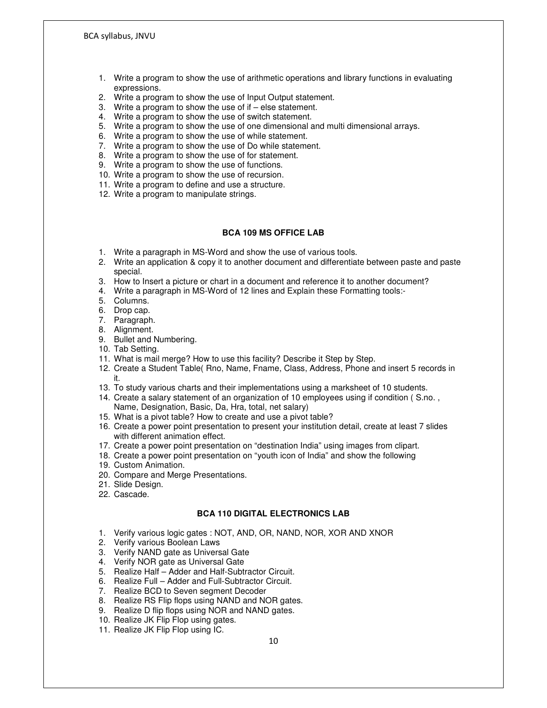- 1. Write a program to show the use of arithmetic operations and library functions in evaluating expressions.
- 2. Write a program to show the use of Input Output statement.
- 3. Write a program to show the use of if else statement.
- 4. Write a program to show the use of switch statement.
- 5. Write a program to show the use of one dimensional and multi dimensional arrays.
- 6. Write a program to show the use of while statement.
- 7. Write a program to show the use of Do while statement.
- 8. Write a program to show the use of for statement.
- 9. Write a program to show the use of functions.
- 10. Write a program to show the use of recursion.
- 11. Write a program to define and use a structure.
- 12. Write a program to manipulate strings.

## **BCA 109 MS OFFICE LAB**

- 1. Write a paragraph in MS-Word and show the use of various tools.
- 2. Write an application & copy it to another document and differentiate between paste and paste special.
- 3. How to Insert a picture or chart in a document and reference it to another document?
- 4. Write a paragraph in MS-Word of 12 lines and Explain these Formatting tools:-
- 5. Columns.
- 6. Drop cap.
- 7. Paragraph.
- 8. Alignment.
- 9. Bullet and Numbering.
- 10. Tab Setting.
- 11. What is mail merge? How to use this facility? Describe it Step by Step.
- 12. Create a Student Table( Rno, Name, Fname, Class, Address, Phone and insert 5 records in it.
- 13. To study various charts and their implementations using a marksheet of 10 students.
- 14. Create a salary statement of an organization of 10 employees using if condition ( S.no. , Name, Designation, Basic, Da, Hra, total, net salary)
- 15. What is a pivot table? How to create and use a pivot table?
- 16. Create a power point presentation to present your institution detail, create at least 7 slides with different animation effect.
- 17. Create a power point presentation on "destination India" using images from clipart.
- 18. Create a power point presentation on "youth icon of India" and show the following
- 19. Custom Animation.
- 20. Compare and Merge Presentations.
- 21. Slide Design.
- 22. Cascade.

## **BCA 110 DIGITAL ELECTRONICS LAB**

- 1. Verify various logic gates : NOT, AND, OR, NAND, NOR, XOR AND XNOR
- 2. Verify various Boolean Laws
- 3. Verify NAND gate as Universal Gate
- 4. Verify NOR gate as Universal Gate
- 5. Realize Half Adder and Half-Subtractor Circuit.
- 6. Realize Full Adder and Full-Subtractor Circuit.
- 7. Realize BCD to Seven segment Decoder
- 8. Realize RS Flip flops using NAND and NOR gates.
- 9. Realize D flip flops using NOR and NAND gates.
- 10. Realize JK Flip Flop using gates.
- 11. Realize JK Flip Flop using IC.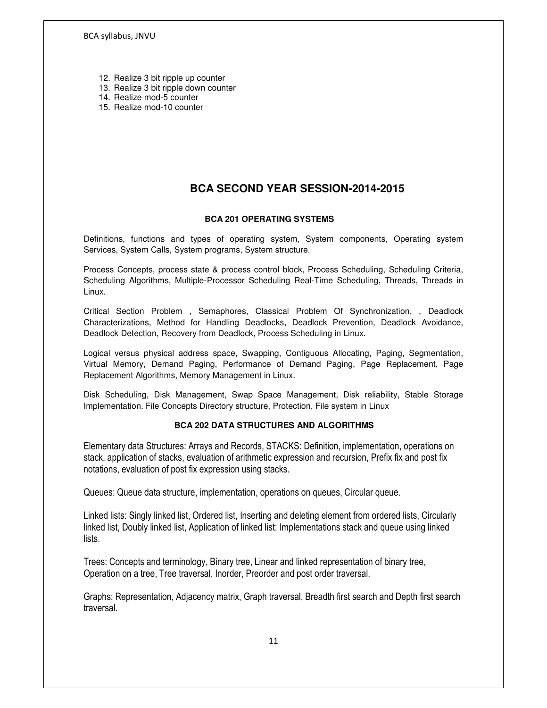- 12. Realize 3 bit ripple up counter
- 13. Realize 3 bit ripple down counter
- 14. Realize mod-5 counter
- 15. Realize mod-10 counter

# **BCA SECOND YEAR SESSION-2014-2015**

# **BCA 201 OPERATING SYSTEMS**

Definitions, functions and types of operating system, System components, Operating system Services, System Calls, System programs, System structure.

Process Concepts, process state & process control block, Process Scheduling, Scheduling Criteria, Scheduling Algorithms, Multiple-Processor Scheduling Real-Time Scheduling, Threads, Threads in Linux.

Critical Section Problem , Semaphores, Classical Problem Of Synchronization, , Deadlock Characterizations, Method for Handling Deadlocks, Deadlock Prevention, Deadlock Avoidance, Deadlock Detection, Recovery from Deadlock, Process Scheduling in Linux.

Logical versus physical address space, Swapping, Contiguous Allocating, Paging, Segmentation, Virtual Memory, Demand Paging, Performance of Demand Paging, Page Replacement, Page Replacement Algorithms, Memory Management in Linux.

Disk Scheduling, Disk Management, Swap Space Management, Disk reliability, Stable Storage Implementation. File Concepts Directory structure, Protection, File system in Linux

# **BCA 202 DATA STRUCTURES AND ALGORITHMS**

Elementary data Structures: Arrays and Records, STACKS: Definition, implementation, operations on stack, application of stacks, evaluation of arithmetic expression and recursion, Prefix fix and post fix notations, evaluation of post fix expression using stacks.

Queues: Queue data structure, implementation, operations on queues, Circular queue.

Linked lists: Singly linked list, Ordered list, Inserting and deleting element from ordered lists, Circularly linked list, Doubly linked list, Application of linked list: Implementations stack and queue using linked lists.

Trees: Concepts and terminology, Binary tree, Linear and linked representation of binary tree, Operation on a tree, Tree traversal, Inorder, Preorder and post order traversal.

Graphs: Representation, Adjacency matrix, Graph traversal, Breadth first search and Depth first search traversal.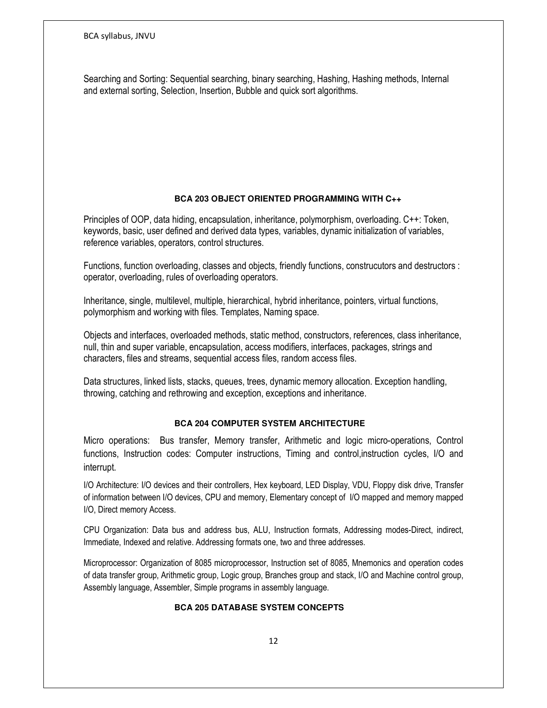Searching and Sorting: Sequential searching, binary searching, Hashing, Hashing methods, Internal and external sorting, Selection, Insertion, Bubble and quick sort algorithms.

# **BCA 203 OBJECT ORIENTED PROGRAMMING WITH C++**

Principles of OOP, data hiding, encapsulation, inheritance, polymorphism, overloading. C++: Token, keywords, basic, user defined and derived data types, variables, dynamic initialization of variables, reference variables, operators, control structures.

Functions, function overloading, classes and objects, friendly functions, construcutors and destructors : operator, overloading, rules of overloading operators.

Inheritance, single, multilevel, multiple, hierarchical, hybrid inheritance, pointers, virtual functions, polymorphism and working with files. Templates, Naming space.

Objects and interfaces, overloaded methods, static method, constructors, references, class inheritance, null, thin and super variable, encapsulation, access modifiers, interfaces, packages, strings and characters, files and streams, sequential access files, random access files.

Data structures, linked lists, stacks, queues, trees, dynamic memory allocation. Exception handling, throwing, catching and rethrowing and exception, exceptions and inheritance.

## **BCA 204 COMPUTER SYSTEM ARCHITECTURE**

Micro operations: Bus transfer, Memory transfer, Arithmetic and logic micro-operations, Control functions, Instruction codes: Computer instructions, Timing and control,instruction cycles, I/O and interrupt.

I/O Architecture: I/O devices and their controllers, Hex keyboard, LED Display, VDU, Floppy disk drive, Transfer of information between I/O devices, CPU and memory, Elementary concept of I/O mapped and memory mapped I/O, Direct memory Access.

CPU Organization: Data bus and address bus, ALU, Instruction formats, Addressing modes-Direct, indirect, Immediate, Indexed and relative. Addressing formats one, two and three addresses.

Microprocessor: Organization of 8085 microprocessor, Instruction set of 8085, Mnemonics and operation codes of data transfer group, Arithmetic group, Logic group, Branches group and stack, I/O and Machine control group, Assembly language, Assembler, Simple programs in assembly language.

#### **BCA 205 DATABASE SYSTEM CONCEPTS**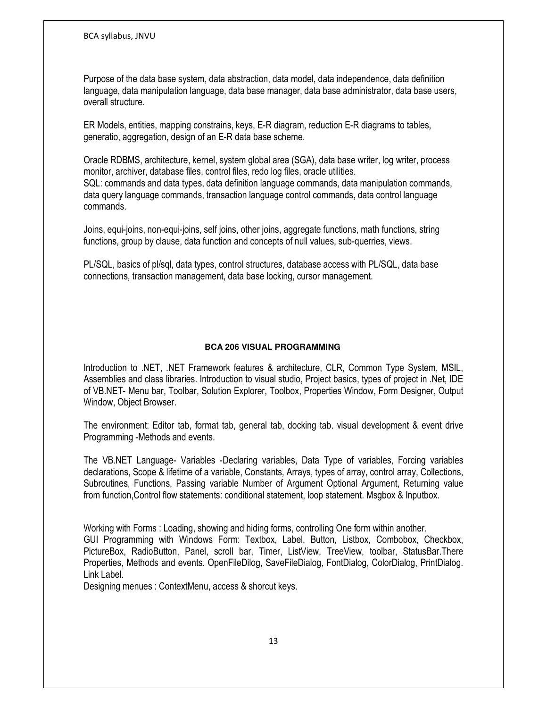Purpose of the data base system, data abstraction, data model, data independence, data definition language, data manipulation language, data base manager, data base administrator, data base users, overall structure.

ER Models, entities, mapping constrains, keys, E-R diagram, reduction E-R diagrams to tables, generatio, aggregation, design of an E-R data base scheme.

Oracle RDBMS, architecture, kernel, system global area (SGA), data base writer, log writer, process monitor, archiver, database files, control files, redo log files, oracle utilities. SQL: commands and data types, data definition language commands, data manipulation commands, data query language commands, transaction language control commands, data control language commands.

Joins, equi-joins, non-equi-joins, self joins, other joins, aggregate functions, math functions, string functions, group by clause, data function and concepts of null values, sub-querries, views.

PL/SQL, basics of pl/sql, data types, control structures, database access with PL/SQL, data base connections, transaction management, data base locking, cursor management.

# **BCA 206 VISUAL PROGRAMMING**

Introduction to .NET, .NET Framework features & architecture, CLR, Common Type System, MSIL, Assemblies and class libraries. Introduction to visual studio, Project basics, types of project in .Net, IDE of VB.NET- Menu bar, Toolbar, Solution Explorer, Toolbox, Properties Window, Form Designer, Output Window, Object Browser.

The environment: Editor tab, format tab, general tab, docking tab. visual development & event drive Programming -Methods and events.

The VB.NET Language- Variables -Declaring variables, Data Type of variables, Forcing variables declarations, Scope & lifetime of a variable, Constants, Arrays, types of array, control array, Collections, Subroutines, Functions, Passing variable Number of Argument Optional Argument, Returning value from function,Control flow statements: conditional statement, loop statement. Msgbox & Inputbox.

Working with Forms : Loading, showing and hiding forms, controlling One form within another. GUI Programming with Windows Form: Textbox, Label, Button, Listbox, Combobox, Checkbox, PictureBox, RadioButton, Panel, scroll bar, Timer, ListView, TreeView, toolbar, StatusBar.There Properties, Methods and events. OpenFileDilog, SaveFileDialog, FontDialog, ColorDialog, PrintDialog. Link Label.

Designing menues : ContextMenu, access & shorcut keys.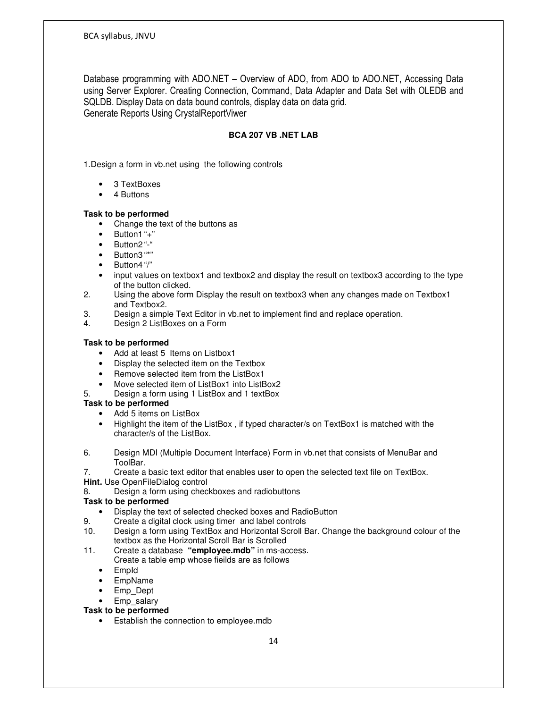Database programming with ADO.NET – Overview of ADO, from ADO to ADO.NET, Accessing Data using Server Explorer. Creating Connection, Command, Data Adapter and Data Set with OLEDB and SQLDB. Display Data on data bound controls, display data on data grid. Generate Reports Using CrystalReportViwer

# **BCA 207 VB .NET LAB**

1.Design a form in vb.net using the following controls

- 3 TextBoxes
- 4 Buttons

## **Task to be performed**

- Change the text of the buttons as
- $\bullet$  Button1"+"
- Button2 "-"
- Button3 "\*"
- Button4 "/"
- input values on textbox1 and textbox2 and display the result on textbox3 according to the type of the button clicked.
- 2. Using the above form Display the result on textbox3 when any changes made on Textbox1 and Textbox2.<br>3. Design a simp
- Design a simple Text Editor in vb.net to implement find and replace operation.
- 4. Design 2 ListBoxes on a Form

# **Task to be performed**

- Add at least 5 Items on Listbox1
- Display the selected item on the Textbox
- Remove selected item from the ListBox1
- Move selected item of ListBox1 into ListBox2
- 5. Design a form using 1 ListBox and 1 textBox

# **Task to be performed**

- Add 5 items on ListBox
- Highlight the item of the ListBox , if typed character/s on TextBox1 is matched with the character/s of the ListBox.
- 6. Design MDI (Multiple Document Interface) Form in vb.net that consists of MenuBar and ToolBar.
- 7. Create a basic text editor that enables user to open the selected text file on TextBox.
- **Hint.** Use OpenFileDialog control
- 8. Design a form using checkboxes and radiobuttons

## **Task to be performed**

- Display the text of selected checked boxes and RadioButton
- 9. Create a digital clock using timer and label controls
- 10. Design a form using TextBox and Horizontal Scroll Bar. Change the background colour of the textbox as the Horizontal Scroll Bar is Scrolled
- 11. Create a database **"employee.mdb"** in ms-access.
	- Create a table emp whose fieilds are as follows
	- EmpId
	- EmpName
	- Emp\_Dept
	- Emp\_salary

# **Task to be performed**

• Establish the connection to employee.mdb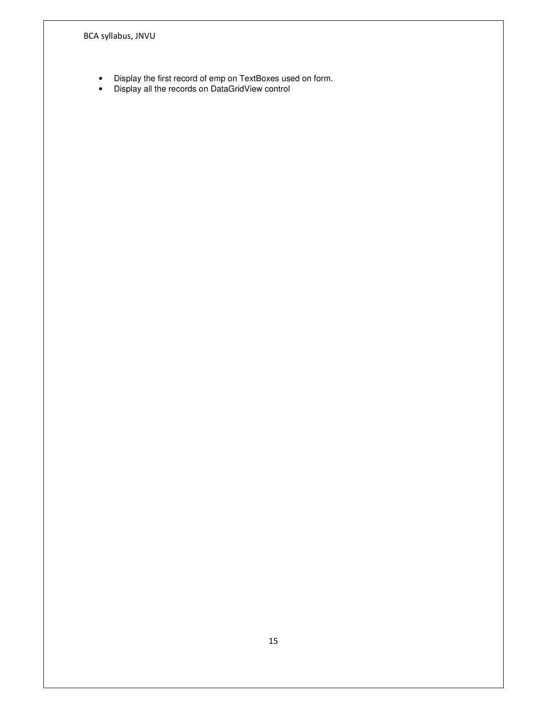- Display the first record of emp on TextBoxes used on form.
- Display all the records on DataGridView control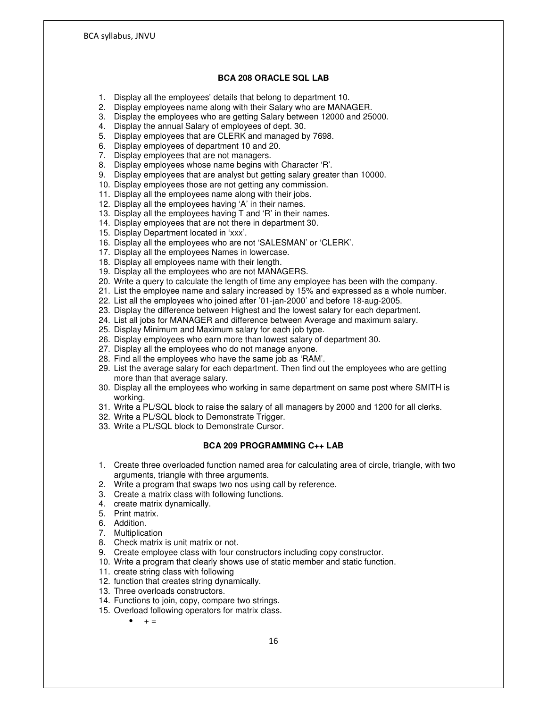#### **BCA 208 ORACLE SQL LAB**

- 1. Display all the employees' details that belong to department 10.
- 2. Display employees name along with their Salary who are MANAGER.
- 3. Display the employees who are getting Salary between 12000 and 25000.
- 4. Display the annual Salary of employees of dept. 30.
- 5. Display employees that are CLERK and managed by 7698.
- 6. Display employees of department 10 and 20.
- 7. Display employees that are not managers.
- 8. Display employees whose name begins with Character 'R'.
- 9. Display employees that are analyst but getting salary greater than 10000.
- 10. Display employees those are not getting any commission.
- 11. Display all the employees name along with their jobs.
- 12. Display all the employees having 'A' in their names.
- 13. Display all the employees having T and 'R' in their names.
- 14. Display employees that are not there in department 30.
- 15. Display Department located in 'xxx'.
- 16. Display all the employees who are not 'SALESMAN' or 'CLERK'.
- 17. Display all the employees Names in lowercase.
- 18. Display all employees name with their length.
- 19. Display all the employees who are not MANAGERS.
- 20. Write a query to calculate the length of time any employee has been with the company.
- 21. List the employee name and salary increased by 15% and expressed as a whole number.
- 22. List all the employees who joined after '01-jan-2000' and before 18-aug-2005.
- 23. Display the difference between Highest and the lowest salary for each department.
- 24. List all jobs for MANAGER and difference between Average and maximum salary.
- 25. Display Minimum and Maximum salary for each job type.
- 26. Display employees who earn more than lowest salary of department 30.
- 27. Display all the employees who do not manage anyone.
- 28. Find all the employees who have the same job as 'RAM'.
- 29. List the average salary for each department. Then find out the employees who are getting more than that average salary.
- 30. Display all the employees who working in same department on same post where SMITH is working.
- 31. Write a PL/SQL block to raise the salary of all managers by 2000 and 1200 for all clerks.
- 32. Write a PL/SQL block to Demonstrate Trigger.
- 33. Write a PL/SQL block to Demonstrate Cursor.

#### **BCA 209 PROGRAMMING C++ LAB**

- 1. Create three overloaded function named area for calculating area of circle, triangle, with two arguments, triangle with three arguments.
- 2. Write a program that swaps two nos using call by reference.
- 3. Create a matrix class with following functions.
- 4. create matrix dynamically.
- 5. Print matrix.
- 6. Addition.
- 7. Multiplication
- 8. Check matrix is unit matrix or not.
- 9. Create employee class with four constructors including copy constructor.
- 10. Write a program that clearly shows use of static member and static function.
- 11. create string class with following
- 12. function that creates string dynamically.
- 13. Three overloads constructors.
- 14. Functions to join, copy, compare two strings.
- 15. Overload following operators for matrix class.

 $+ =$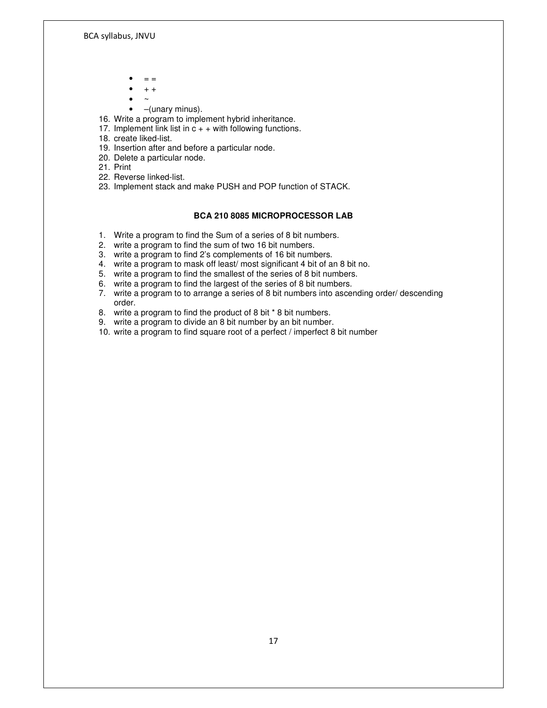- $=$
- + +
- $\bullet$  ~
- –(unary minus).
- 16. Write a program to implement hybrid inheritance.
- 17. Implement link list in  $c + +$  with following functions.
- 18. create liked-list.
- 19. Insertion after and before a particular node.
- 20. Delete a particular node.
- 21. Print
- 22. Reverse linked-list.
- 23. Implement stack and make PUSH and POP function of STACK.

#### **BCA 210 8085 MICROPROCESSOR LAB**

- 1. Write a program to find the Sum of a series of 8 bit numbers.
- 2. write a program to find the sum of two 16 bit numbers.
- 3. write a program to find 2's complements of 16 bit numbers.
- 4. write a program to mask off least/ most significant 4 bit of an 8 bit no.
- 5. write a program to find the smallest of the series of 8 bit numbers.
- 6. write a program to find the largest of the series of 8 bit numbers.
- 7. write a program to to arrange a series of 8 bit numbers into ascending order/ descending order.
- 8. write a program to find the product of 8 bit \* 8 bit numbers.
- 9. write a program to divide an 8 bit number by an bit number.
- 10. write a program to find square root of a perfect / imperfect 8 bit number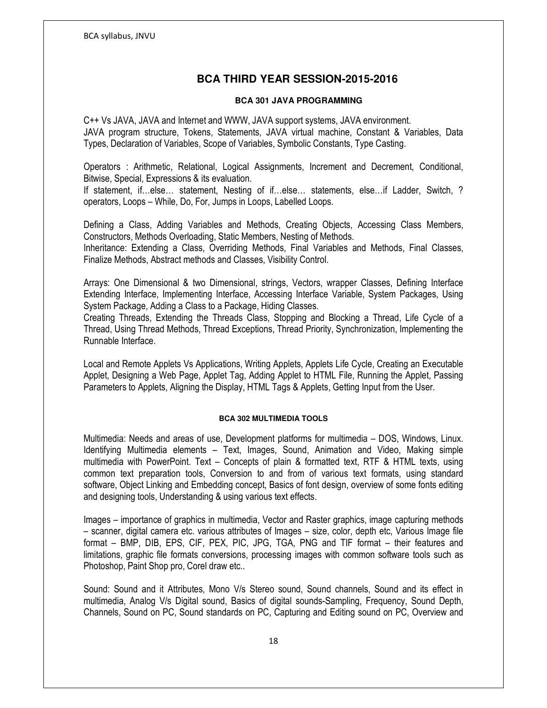# **BCA THIRD YEAR SESSION-2015-2016**

## **BCA 301 JAVA PROGRAMMING**

C++ Vs JAVA, JAVA and Internet and WWW, JAVA support systems, JAVA environment. JAVA program structure, Tokens, Statements, JAVA virtual machine, Constant & Variables, Data Types, Declaration of Variables, Scope of Variables, Symbolic Constants, Type Casting.

Operators : Arithmetic, Relational, Logical Assignments, Increment and Decrement, Conditional, Bitwise, Special, Expressions & its evaluation.

If statement, if…else… statement, Nesting of if…else… statements, else…if Ladder, Switch, ? operators, Loops – While, Do, For, Jumps in Loops, Labelled Loops.

Defining a Class, Adding Variables and Methods, Creating Objects, Accessing Class Members, Constructors, Methods Overloading, Static Members, Nesting of Methods.

Inheritance: Extending a Class, Overriding Methods, Final Variables and Methods, Final Classes, Finalize Methods, Abstract methods and Classes, Visibility Control.

Arrays: One Dimensional & two Dimensional, strings, Vectors, wrapper Classes, Defining Interface Extending Interface, Implementing Interface, Accessing Interface Variable, System Packages, Using System Package, Adding a Class to a Package, Hiding Classes.

Creating Threads, Extending the Threads Class, Stopping and Blocking a Thread, Life Cycle of a Thread, Using Thread Methods, Thread Exceptions, Thread Priority, Synchronization, Implementing the Runnable Interface.

Local and Remote Applets Vs Applications, Writing Applets, Applets Life Cycle, Creating an Executable Applet, Designing a Web Page, Applet Tag, Adding Applet to HTML File, Running the Applet, Passing Parameters to Applets, Aligning the Display, HTML Tags & Applets, Getting Input from the User.

## **BCA 302 MULTIMEDIA TOOLS**

Multimedia: Needs and areas of use, Development platforms for multimedia – DOS, Windows, Linux. Identifying Multimedia elements – Text, Images, Sound, Animation and Video, Making simple multimedia with PowerPoint. Text – Concepts of plain & formatted text, RTF & HTML texts, using common text preparation tools, Conversion to and from of various text formats, using standard software, Object Linking and Embedding concept, Basics of font design, overview of some fonts editing and designing tools, Understanding & using various text effects.

Images – importance of graphics in multimedia, Vector and Raster graphics, image capturing methods – scanner, digital camera etc. various attributes of Images – size, color, depth etc, Various Image file format – BMP, DIB, EPS, CIF, PEX, PIC, JPG, TGA, PNG and TIF format – their features and limitations, graphic file formats conversions, processing images with common software tools such as Photoshop, Paint Shop pro, Corel draw etc..

Sound: Sound and it Attributes, Mono V/s Stereo sound, Sound channels, Sound and its effect in multimedia, Analog V/s Digital sound, Basics of digital sounds-Sampling, Frequency, Sound Depth, Channels, Sound on PC, Sound standards on PC, Capturing and Editing sound on PC, Overview and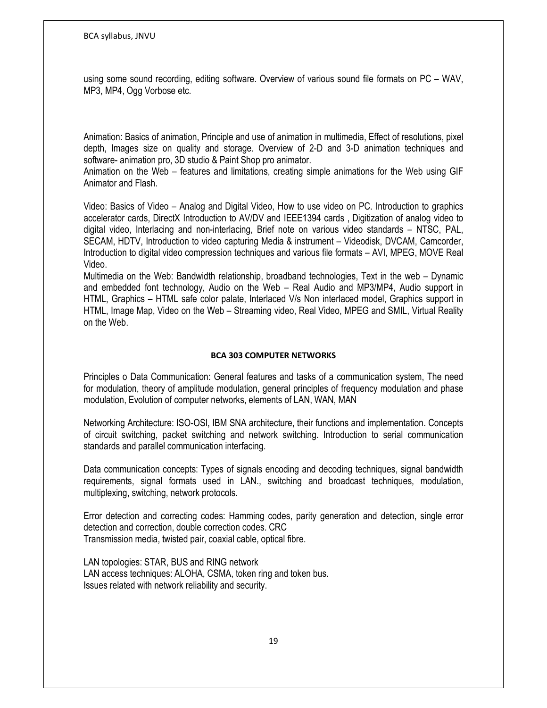using some sound recording, editing software. Overview of various sound file formats on PC – WAV, MP3, MP4, Ogg Vorbose etc.

Animation: Basics of animation, Principle and use of animation in multimedia, Effect of resolutions, pixel depth, Images size on quality and storage. Overview of 2-D and 3-D animation techniques and software- animation pro, 3D studio & Paint Shop pro animator.

Animation on the Web – features and limitations, creating simple animations for the Web using GIF Animator and Flash.

Video: Basics of Video – Analog and Digital Video, How to use video on PC. Introduction to graphics accelerator cards, DirectX Introduction to AV/DV and IEEE1394 cards , Digitization of analog video to digital video, Interlacing and non-interlacing, Brief note on various video standards – NTSC, PAL, SECAM, HDTV, Introduction to video capturing Media & instrument – Videodisk, DVCAM, Camcorder, Introduction to digital video compression techniques and various file formats – AVI, MPEG, MOVE Real Video.

Multimedia on the Web: Bandwidth relationship, broadband technologies, Text in the web – Dynamic and embedded font technology, Audio on the Web – Real Audio and MP3/MP4, Audio support in HTML, Graphics – HTML safe color palate, Interlaced V/s Non interlaced model, Graphics support in HTML, Image Map, Video on the Web – Streaming video, Real Video, MPEG and SMIL, Virtual Reality on the Web.

# BCA 303 COMPUTER NETWORKS

Principles o Data Communication: General features and tasks of a communication system, The need for modulation, theory of amplitude modulation, general principles of frequency modulation and phase modulation, Evolution of computer networks, elements of LAN, WAN, MAN

Networking Architecture: ISO-OSI, IBM SNA architecture, their functions and implementation. Concepts of circuit switching, packet switching and network switching. Introduction to serial communication standards and parallel communication interfacing.

Data communication concepts: Types of signals encoding and decoding techniques, signal bandwidth requirements, signal formats used in LAN., switching and broadcast techniques, modulation, multiplexing, switching, network protocols.

Error detection and correcting codes: Hamming codes, parity generation and detection, single error detection and correction, double correction codes. CRC Transmission media, twisted pair, coaxial cable, optical fibre.

LAN topologies: STAR, BUS and RING network LAN access techniques: ALOHA, CSMA, token ring and token bus. Issues related with network reliability and security.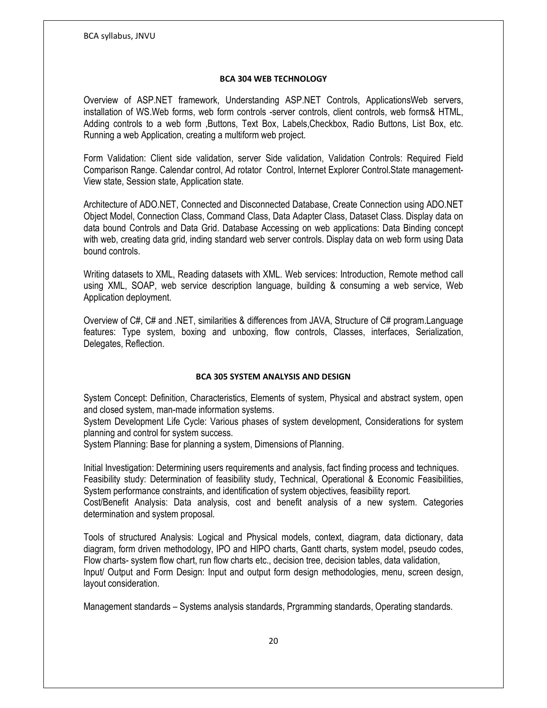## BCA 304 WEB TECHNOLOGY

Overview of ASP.NET framework, Understanding ASP.NET Controls, ApplicationsWeb servers, installation of WS.Web forms, web form controls -server controls, client controls, web forms& HTML, Adding controls to a web form ,Buttons, Text Box, Labels,Checkbox, Radio Buttons, List Box, etc. Running a web Application, creating a multiform web project.

Form Validation: Client side validation, server Side validation, Validation Controls: Required Field Comparison Range. Calendar control, Ad rotator Control, Internet Explorer Control.State management-View state, Session state, Application state.

Architecture of ADO.NET, Connected and Disconnected Database, Create Connection using ADO.NET Object Model, Connection Class, Command Class, Data Adapter Class, Dataset Class. Display data on data bound Controls and Data Grid. Database Accessing on web applications: Data Binding concept with web, creating data grid, inding standard web server controls. Display data on web form using Data bound controls.

Writing datasets to XML, Reading datasets with XML. Web services: Introduction, Remote method call using XML, SOAP, web service description language, building & consuming a web service, Web Application deployment.

Overview of C#, C# and .NET, similarities & differences from JAVA, Structure of C# program.Language features: Type system, boxing and unboxing, flow controls, Classes, interfaces, Serialization, Delegates, Reflection.

# BCA 305 SYSTEM ANALYSIS AND DESIGN

System Concept: Definition, Characteristics, Elements of system, Physical and abstract system, open and closed system, man-made information systems.

System Development Life Cycle: Various phases of system development, Considerations for system planning and control for system success.

System Planning: Base for planning a system, Dimensions of Planning.

Initial Investigation: Determining users requirements and analysis, fact finding process and techniques. Feasibility study: Determination of feasibility study, Technical, Operational & Economic Feasibilities, System performance constraints, and identification of system objectives, feasibility report. Cost/Benefit Analysis: Data analysis, cost and benefit analysis of a new system. Categories determination and system proposal.

Tools of structured Analysis: Logical and Physical models, context, diagram, data dictionary, data diagram, form driven methodology, IPO and HIPO charts, Gantt charts, system model, pseudo codes, Flow charts- system flow chart, run flow charts etc., decision tree, decision tables, data validation, Input/ Output and Form Design: Input and output form design methodologies, menu, screen design, layout consideration.

Management standards – Systems analysis standards, Prgramming standards, Operating standards.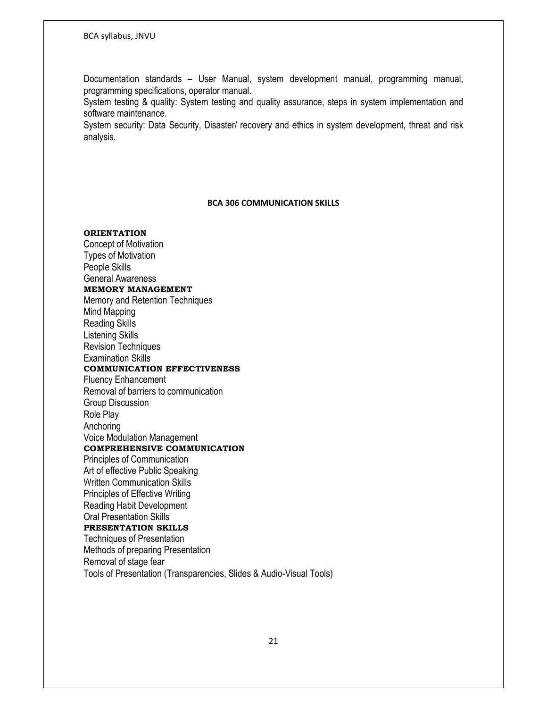Documentation standards – User Manual, system development manual, programming manual, programming specifications, operator manual.

System testing & quality: System testing and quality assurance, steps in system implementation and software maintenance.

System security: Data Security, Disaster/ recovery and ethics in system development, threat and risk analysis.

#### BCA 306 COMMUNICATION SKILLS

# **ORIENTATION**

Concept of Motivation Types of Motivation People Skills General Awareness MEMORY MANAGEMENT Memory and Retention Techniques Mind Mapping Reading Skills Listening Skills Revision Techniques Examination Skills COMMUNICATION EFFECTIVENESS Fluency Enhancement Removal of barriers to communication Group Discussion Role Play Anchoring Voice Modulation Management COMPREHENSIVE COMMUNICATION Principles of Communication Art of effective Public Speaking Written Communication Skills Principles of Effective Writing Reading Habit Development Oral Presentation Skills PRESENTATION SKILLS Techniques of Presentation Methods of preparing Presentation Removal of stage fear Tools of Presentation (Transparencies, Slides & Audio-Visual Tools)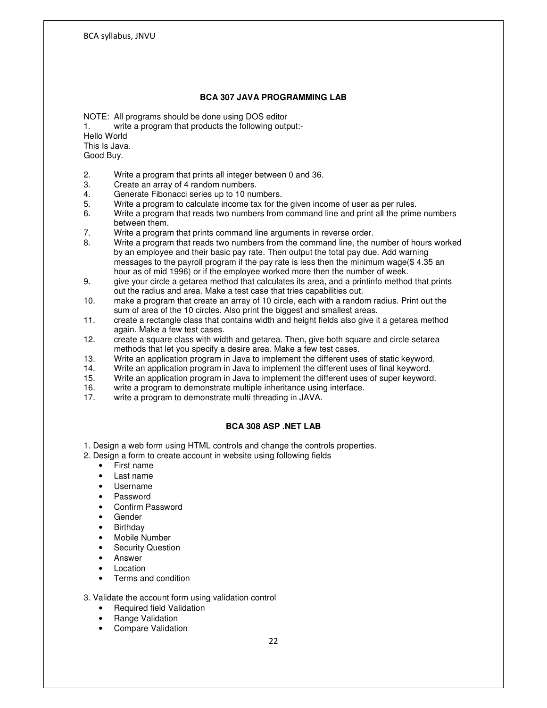#### **BCA 307 JAVA PROGRAMMING LAB**

NOTE: All programs should be done using DOS editor

1. write a program that products the following output:-

Hello World This Is Java. Good Buy.

2. Write a program that prints all integer between 0 and 36.

- 3. Create an array of 4 random numbers.
- 4. Generate Fibonacci series up to 10 numbers.<br>5. Write a program to calculate income tax for the
- 5. Write a program to calculate income tax for the given income of user as per rules.<br>6. Write a program that reads two numbers from command line and print all the prime
- Write a program that reads two numbers from command line and print all the prime numbers between them.
- 7. Write a program that prints command line arguments in reverse order.
- 8. Write a program that reads two numbers from the command line, the number of hours worked by an employee and their basic pay rate. Then output the total pay due. Add warning messages to the payroll program if the pay rate is less then the minimum wage(\$ 4.35 an
- hour as of mid 1996) or if the employee worked more then the number of week.<br>9. aive your circle a getarea method that calculates its area, and a printinfo method give your circle a getarea method that calculates its area, and a printinfo method that prints out the radius and area. Make a test case that tries capabilities out.
- 10. make a program that create an array of 10 circle, each with a random radius. Print out the sum of area of the 10 circles. Also print the biggest and smallest areas.
- 11. create a rectangle class that contains width and height fields also give it a getarea method again. Make a few test cases.<br>12. create a square class with wid
- 12. create a square class with width and getarea. Then, give both square and circle setarea methods that let you specify a desire area. Make a few test cases.<br>13. Write an application program in Java to implement the different use
- Write an application program in Java to implement the different uses of static keyword.
- 14. Write an application program in Java to implement the different uses of final keyword.<br>15. Write an application program in Java to implement the different uses of super keyword
- 15. Write an application program in Java to implement the different uses of super keyword.<br>16. write a program to demonstrate multiple inheritance using interface.
- 16. write a program to demonstrate multiple inheritance using interface.<br>17. write a program to demonstrate multi threading in JAVA.
- write a program to demonstrate multi threading in JAVA.

## **BCA 308 ASP .NET LAB**

1. Design a web form using HTML controls and change the controls properties.

- 2. Design a form to create account in website using following fields
	- First name
	- Last name
	- Username
	- Password
	- Confirm Password
	- Gender
	- **Birthday**
	- Mobile Number
	- **Security Question**
	- Answer
	- **Location**
	- Terms and condition

## 3. Validate the account form using validation control

- Required field Validation
- Range Validation
- Compare Validation